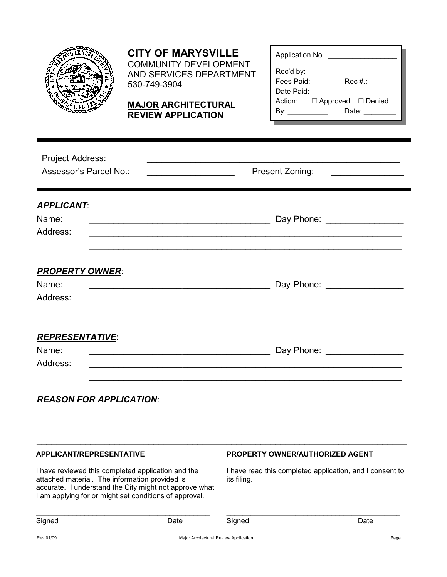

## **CITY OF MARYSVILLE**

COMMUNITY DEVELOPMENT AND SERVICES DEPARTMENT 530-749-3904

**MAJOR ARCHITECTURAL REVIEW APPLICATION**

| Application No. |                             |  |  |  |  |  |  |
|-----------------|-----------------------------|--|--|--|--|--|--|
| Rec'd by:       |                             |  |  |  |  |  |  |
| Fees Paid:      | $Rec#$ :                    |  |  |  |  |  |  |
| Date Paid:      |                             |  |  |  |  |  |  |
|                 | Action: □ Approved □ Denied |  |  |  |  |  |  |
|                 | Date: ______                |  |  |  |  |  |  |
|                 |                             |  |  |  |  |  |  |

| <b>Project Address:</b><br>Assessor's Parcel No.: | Present Zoning:               |  |  |
|---------------------------------------------------|-------------------------------|--|--|
| <b>APPLICANT:</b><br>Name:<br>Address:            | Day Phone: _________________  |  |  |
| <b>PROPERTY OWNER:</b><br>Name:<br>Address:       | Day Phone: _________________  |  |  |
| <b>REPRESENTATIVE:</b><br>Name:<br>Address:       | Day Phone: __________________ |  |  |
| <b>REASON FOR APPLICATION:</b>                    |                               |  |  |
|                                                   |                               |  |  |

#### **APPLICANT/REPRESENTATIVE**

I have reviewed this completed application and the attached material. The information provided is accurate. I understand the City might not approve what I am applying for or might set conditions of approval.

\_\_\_\_\_\_\_\_\_\_\_\_\_\_\_\_\_\_\_\_\_\_\_\_\_\_\_\_\_\_\_\_\_\_\_\_\_\_\_\_\_\_\_

#### **PROPERTY OWNER/AUTHORIZED AGENT**

I have read this completed application, and I consent to its filing.

\_\_\_\_\_\_\_\_\_\_\_\_\_\_\_\_\_\_\_\_\_\_\_\_\_\_\_\_\_\_\_\_\_\_\_\_\_\_\_\_\_\_\_

|--|--|

Signed Date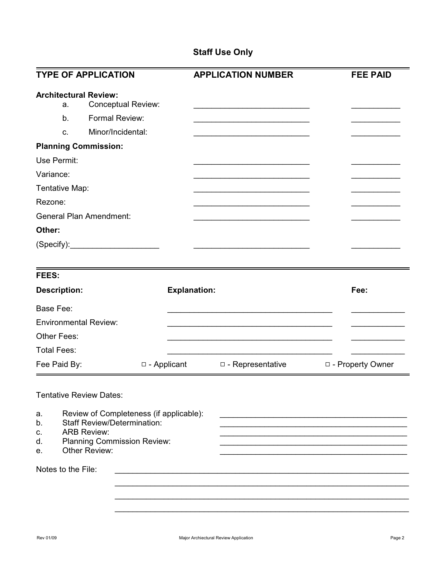### **Staff Use Only**

| <b>TYPE OF APPLICATION</b>                                                         |                                                                                                                                                            |                     | <b>APPLICATION NUMBER</b>                                                                                            | <b>FEE PAID</b>    |
|------------------------------------------------------------------------------------|------------------------------------------------------------------------------------------------------------------------------------------------------------|---------------------|----------------------------------------------------------------------------------------------------------------------|--------------------|
| <b>Architectural Review:</b><br>a.<br>b.<br>C.                                     | <b>Conceptual Review:</b><br>Formal Review:<br>Minor/Incidental:                                                                                           |                     | <u> 1950 - Johann John Barn, mars ar breist ar breist ar breist ar breist ar breist ar breist ar breist ar breis</u> |                    |
| <b>Planning Commission:</b>                                                        |                                                                                                                                                            |                     |                                                                                                                      |                    |
| Use Permit:                                                                        |                                                                                                                                                            |                     |                                                                                                                      |                    |
| Variance:                                                                          |                                                                                                                                                            |                     |                                                                                                                      |                    |
| Tentative Map:                                                                     |                                                                                                                                                            |                     |                                                                                                                      |                    |
| Rezone:                                                                            |                                                                                                                                                            |                     |                                                                                                                      |                    |
| <b>General Plan Amendment:</b>                                                     |                                                                                                                                                            |                     |                                                                                                                      |                    |
| Other:                                                                             |                                                                                                                                                            |                     |                                                                                                                      |                    |
|                                                                                    |                                                                                                                                                            |                     |                                                                                                                      |                    |
| <b>FEES:</b>                                                                       |                                                                                                                                                            |                     |                                                                                                                      |                    |
| <b>Description:</b>                                                                |                                                                                                                                                            | <b>Explanation:</b> |                                                                                                                      | Fee:               |
| Base Fee:                                                                          |                                                                                                                                                            |                     |                                                                                                                      |                    |
| <b>Environmental Review:</b>                                                       |                                                                                                                                                            |                     |                                                                                                                      |                    |
| Other Fees:                                                                        |                                                                                                                                                            |                     |                                                                                                                      |                    |
| <b>Total Fees:</b>                                                                 |                                                                                                                                                            |                     |                                                                                                                      |                    |
| Fee Paid By:                                                                       | □ - Applicant                                                                                                                                              |                     | □ - Representative                                                                                                   | □ - Property Owner |
| <b>Tentative Review Dates:</b><br>a.<br>b.<br>c.<br>d.<br>е.<br>Notes to the File: | Review of Completeness (if applicable):<br><b>Staff Review/Determination:</b><br><b>ARB Review:</b><br><b>Planning Commission Review:</b><br>Other Review: |                     |                                                                                                                      |                    |
|                                                                                    |                                                                                                                                                            |                     |                                                                                                                      |                    |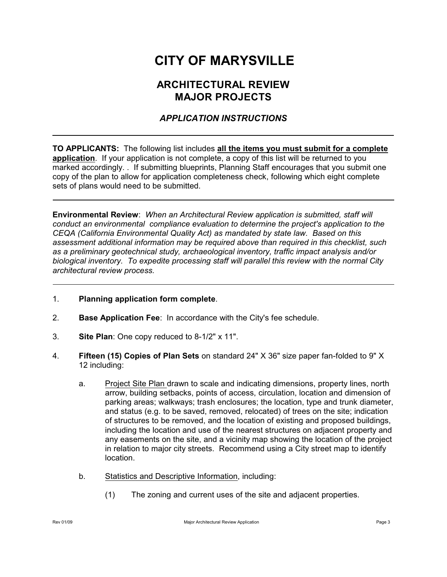# **CITY OF MARYSVILLE**

## **ARCHITECTURAL REVIEW MAJOR PROJECTS**

#### *APPLICATION INSTRUCTIONS*

**TO APPLICANTS:** The following list includes **all the items you must submit for a complete application**. If your application is not complete, a copy of this list will be returned to you marked accordingly. . If submitting blueprints, Planning Staff encourages that you submit one copy of the plan to allow for application completeness check, following which eight complete sets of plans would need to be submitted.

**Environmental Review**: *When an Architectural Review application is submitted, staff will conduct an environmental compliance evaluation to determine the project's application to the CEQA (California Environmental Quality Act) as mandated by state law. Based on this assessment additional information may be required above than required in this checklist, such as a preliminary geotechnical study, archaeological inventory, traffic impact analysis and/or biological inventory. To expedite processing staff will parallel this review with the normal City architectural review process.*

- 1. **Planning application form complete**.
- 2. **Base Application Fee**: In accordance with the City's fee schedule.
- 3. **Site Plan**: One copy reduced to 8-1/2" x 11".
- 4. **Fifteen (15) Copies of Plan Sets** on standard 24" X 36" size paper fan-folded to 9" X 12 including:
	- a. Project Site Plan drawn to scale and indicating dimensions, property lines, north arrow, building setbacks, points of access, circulation, location and dimension of parking areas; walkways; trash enclosures; the location, type and trunk diameter, and status (e.g. to be saved, removed, relocated) of trees on the site; indication of structures to be removed, and the location of existing and proposed buildings, including the location and use of the nearest structures on adjacent property and any easements on the site, and a vicinity map showing the location of the project in relation to major city streets. Recommend using a City street map to identify location.
	- b. Statistics and Descriptive Information, including:
		- (1) The zoning and current uses of the site and adjacent properties.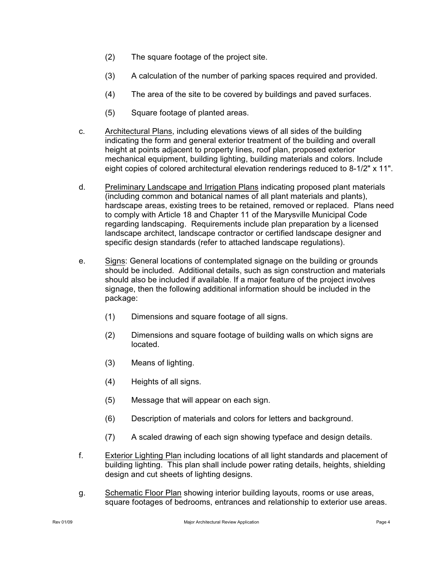- (2) The square footage of the project site.
- (3) A calculation of the number of parking spaces required and provided.
- (4) The area of the site to be covered by buildings and paved surfaces.
- (5) Square footage of planted areas.
- c. Architectural Plans, including elevations views of all sides of the building indicating the form and general exterior treatment of the building and overall height at points adjacent to property lines, roof plan, proposed exterior mechanical equipment, building lighting, building materials and colors. Include eight copies of colored architectural elevation renderings reduced to 8-1/2" x 11".
- d. Preliminary Landscape and Irrigation Plans indicating proposed plant materials (including common and botanical names of all plant materials and plants), hardscape areas, existing trees to be retained, removed or replaced. Plans need to comply with Article 18 and Chapter 11 of the Marysville Municipal Code regarding landscaping. Requirements include plan preparation by a licensed landscape architect, landscape contractor or certified landscape designer and specific design standards (refer to attached landscape regulations).
- e. Signs: General locations of contemplated signage on the building or grounds should be included. Additional details, such as sign construction and materials should also be included if available. If a major feature of the project involves signage, then the following additional information should be included in the package:
	- (1) Dimensions and square footage of all signs.
	- (2) Dimensions and square footage of building walls on which signs are located.
	- (3) Means of lighting.
	- (4) Heights of all signs.
	- (5) Message that will appear on each sign.
	- (6) Description of materials and colors for letters and background.
	- (7) A scaled drawing of each sign showing typeface and design details.
- f. Exterior Lighting Plan including locations of all light standards and placement of building lighting. This plan shall include power rating details, heights, shielding design and cut sheets of lighting designs.
- g. Schematic Floor Plan showing interior building layouts, rooms or use areas, square footages of bedrooms, entrances and relationship to exterior use areas.